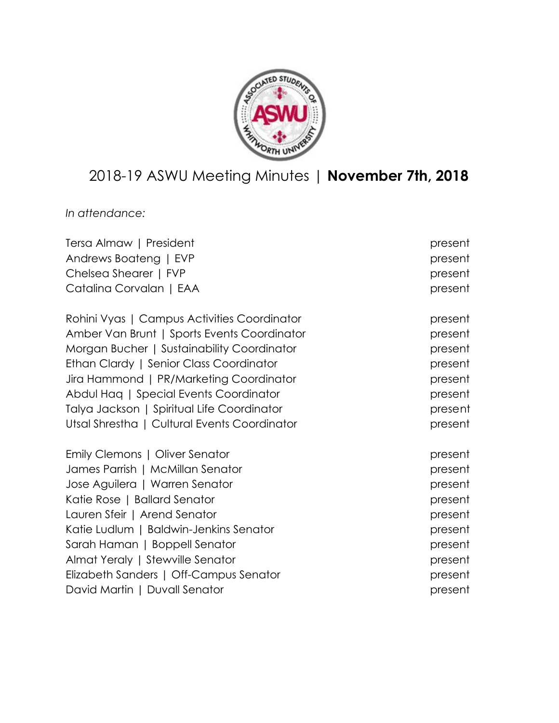

# 2018-19 ASWU Meeting Minutes | **November 7th, 2018**

*In attendance:*

| Tersa Almaw   President                      | present |
|----------------------------------------------|---------|
| Andrews Boateng   EVP                        | present |
| Chelsea Shearer   FVP                        | present |
| Catalina Corvalan   EAA                      | present |
| Rohini Vyas   Campus Activities Coordinator  | present |
| Amber Van Brunt   Sports Events Coordinator  | present |
| Morgan Bucher   Sustainability Coordinator   | present |
| Ethan Clardy   Senior Class Coordinator      | present |
| Jira Hammond   PR/Marketing Coordinator      | present |
| Abdul Haq   Special Events Coordinator       | present |
| Talya Jackson   Spiritual Life Coordinator   | present |
| Utsal Shrestha   Cultural Events Coordinator | present |
| Emily Clemons   Oliver Senator               | present |
| James Parrish   McMillan Senator             | present |
| Jose Aguilera   Warren Senator               | present |
| Katie Rose   Ballard Senator                 | present |
| Lauren Sfeir   Arend Senator                 | present |
| Katie Ludlum   Baldwin-Jenkins Senator       | present |
| Sarah Haman   Boppell Senator                | present |
| Almat Yeraly   Stewville Senator             | present |
| Elizabeth Sanders   Off-Campus Senator       | present |
| David Martin   Duvall Senator                | present |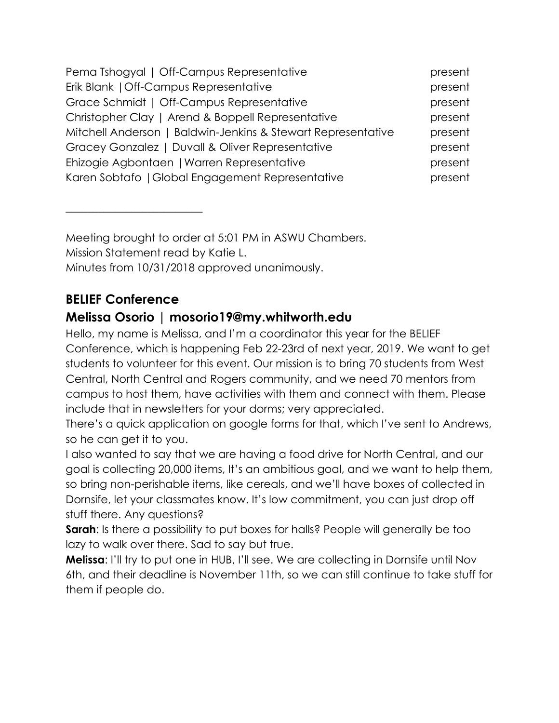| Pema Tshogyal   Off-Campus Representative                    | present |
|--------------------------------------------------------------|---------|
| Erik Blank   Off-Campus Representative                       | present |
| Grace Schmidt   Off-Campus Representative                    | present |
| Christopher Clay   Arend & Boppell Representative            | present |
| Mitchell Anderson   Baldwin-Jenkins & Stewart Representative | present |
| Gracey Gonzalez   Duvall & Oliver Representative             | present |
| Ehizogie Agbontaen   Warren Representative                   | present |
| Karen Sobtafo   Global Engagement Representative             | present |

Meeting brought to order at 5:01 PM in ASWU Chambers. Mission Statement read by Katie L. Minutes from 10/31/2018 approved unanimously.

## **BELIEF Conference**

 $\overline{\phantom{a}}$  , where  $\overline{\phantom{a}}$  , where  $\overline{\phantom{a}}$  , where  $\overline{\phantom{a}}$  , where  $\overline{\phantom{a}}$ 

## **Melissa Osorio | mosorio19@my.whitworth.edu**

Hello, my name is Melissa, and I'm a coordinator this year for the BELIEF Conference, which is happening Feb 22-23rd of next year, 2019. We want to get students to volunteer for this event. Our mission is to bring 70 students from West Central, North Central and Rogers community, and we need 70 mentors from campus to host them, have activities with them and connect with them. Please include that in newsletters for your dorms; very appreciated.

There's a quick application on google forms for that, which I've sent to Andrews, so he can get it to you.

I also wanted to say that we are having a food drive for North Central, and our goal is collecting 20,000 items, It's an ambitious goal, and we want to help them, so bring non-perishable items, like cereals, and we'll have boxes of collected in Dornsife, let your classmates know. It's low commitment, you can just drop off stuff there. Any questions?

**Sarah:** Is there a possibility to put boxes for halls? People will generally be too lazy to walk over there. Sad to say but true.

**Melissa**: I'll try to put one in HUB, I'll see. We are collecting in Dornsife until Nov 6th, and their deadline is November 11th, so we can still continue to take stuff for them if people do.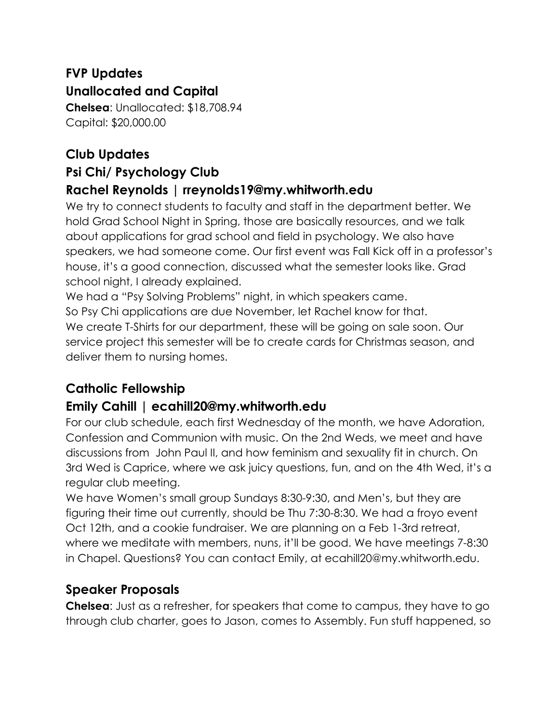## **FVP Updates Unallocated and Capital**

**Chelsea**: Unallocated: \$18,708.94 Capital: \$20,000.00

## **Club Updates Psi Chi/ Psychology Club Rachel Reynolds | rreynolds19@my.whitworth.edu**

We try to connect students to faculty and staff in the department better. We hold Grad School Night in Spring, those are basically resources, and we talk about applications for grad school and field in psychology. We also have speakers, we had someone come. Our first event was Fall Kick off in a professor's house, it's a good connection, discussed what the semester looks like. Grad school night, I already explained.

We had a "Psy Solving Problems" night, in which speakers came. So Psy Chi applications are due November, let Rachel know for that. We create T-Shirts for our department, these will be going on sale soon. Our service project this semester will be to create cards for Christmas season, and deliver them to nursing homes.

## **Catholic Fellowship**

### **Emily Cahill | ecahill20@my.whitworth.edu**

For our club schedule, each first Wednesday of the month, we have Adoration, Confession and Communion with music. On the 2nd Weds, we meet and have discussions from John Paul II, and how feminism and sexuality fit in church. On 3rd Wed is Caprice, where we ask juicy questions, fun, and on the 4th Wed, it's a regular club meeting.

We have Women's small group Sundays 8:30-9:30, and Men's, but they are figuring their time out currently, should be Thu 7:30-8:30. We had a froyo event Oct 12th, and a cookie fundraiser. We are planning on a Feb 1-3rd retreat, where we meditate with members, nuns, it'll be good. We have meetings 7-8:30 in Chapel. Questions? You can contact Emily, at ecahill20@my.whitworth.edu.

### **Speaker Proposals**

**Chelsea**: Just as a refresher, for speakers that come to campus, they have to go through club charter, goes to Jason, comes to Assembly. Fun stuff happened, so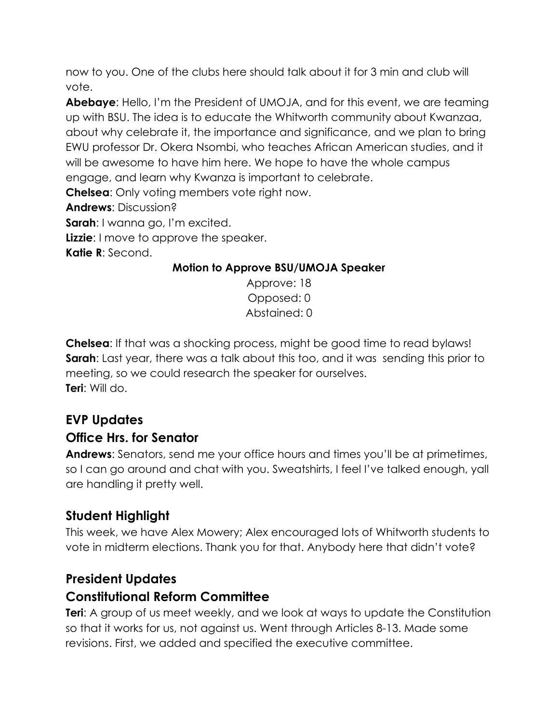now to you. One of the clubs here should talk about it for 3 min and club will vote.

**Abebaye**: Hello, I'm the President of UMOJA, and for this event, we are teaming up with BSU. The idea is to educate the Whitworth community about Kwanzaa, about why celebrate it, the importance and significance, and we plan to bring EWU professor Dr. Okera Nsombi, who teaches African American studies, and it will be awesome to have him here. We hope to have the whole campus engage, and learn why Kwanza is important to celebrate.

**Chelsea**: Only voting members vote right now.

**Andrews**: Discussion?

**Sarah**: I wanna go, I'm excited.

**Lizzie**: I move to approve the speaker.

**Katie R**: Second.

#### **Motion to Approve BSU/UMOJA Speaker**

Approve: 18 Opposed: 0 Abstained: 0

**Chelsea**: If that was a shocking process, might be good time to read bylaws! **Sarah**: Last year, there was a talk about this too, and it was sending this prior to meeting, so we could research the speaker for ourselves. **Teri**: Will do.

## **EVP Updates**

### **Office Hrs. for Senator**

**Andrews**: Senators, send me your office hours and times you'll be at primetimes, so I can go around and chat with you. Sweatshirts, I feel I've talked enough, yall are handling it pretty well.

## **Student Highlight**

This week, we have Alex Mowery; Alex encouraged lots of Whitworth students to vote in midterm elections. Thank you for that. Anybody here that didn't vote?

## **President Updates**

### **Constitutional Reform Committee**

**Teri**: A group of us meet weekly, and we look at ways to update the Constitution so that it works for us, not against us. Went through Articles 8-13. Made some revisions. First, we added and specified the executive committee.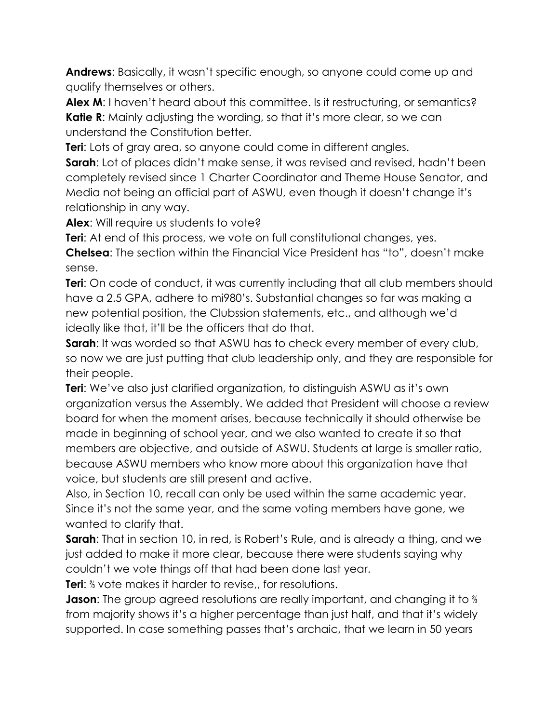**Andrews**: Basically, it wasn't specific enough, so anyone could come up and qualify themselves or others.

Alex M: I haven't heard about this committee. Is it restructuring, or semantics? **Katie R:** Mainly adjusting the wording, so that it's more clear, so we can understand the Constitution better.

**Teri**: Lots of gray area, so anyone could come in different angles.

**Sarah**: Lot of places didn't make sense, it was revised and revised, hadn't been completely revised since 1 Charter Coordinator and Theme House Senator, and Media not being an official part of ASWU, even though it doesn't change it's relationship in any way.

Alex: Will require us students to vote?

**Teri:** At end of this process, we vote on full constitutional changes, yes.

**Chelsea**: The section within the Financial Vice President has "to", doesn't make sense.

**Teri:** On code of conduct, it was currently including that all club members should have a 2.5 GPA, adhere to mi980's. Substantial changes so far was making a new potential position, the Clubssion statements, etc., and although we'd ideally like that, it'll be the officers that do that.

**Sarah:** It was worded so that ASWU has to check every member of every club, so now we are just putting that club leadership only, and they are responsible for their people.

**Teri**: We've also just clarified organization, to distinguish ASWU as it's own organization versus the Assembly. We added that President will choose a review board for when the moment arises, because technically it should otherwise be made in beginning of school year, and we also wanted to create it so that members are objective, and outside of ASWU. Students at large is smaller ratio, because ASWU members who know more about this organization have that voice, but students are still present and active.

Also, in Section 10, recall can only be used within the same academic year. Since it's not the same year, and the same voting members have gone, we wanted to clarify that.

**Sarah**: That in section 10, in red, is Robert's Rule, and is already a thing, and we just added to make it more clear, because there were students saying why couldn't we vote things off that had been done last year.

**Teri**: ⅔ vote makes it harder to revise,, for resolutions.

**Jason:** The group agreed resolutions are really important, and changing it to <sup>3</sup> a from majority shows it's a higher percentage than just half, and that it's widely supported. In case something passes that's archaic, that we learn in 50 years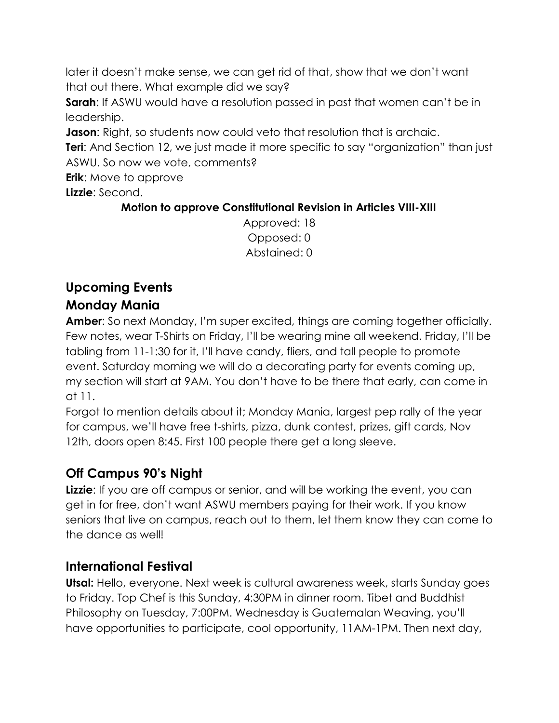later it doesn't make sense, we can get rid of that, show that we don't want that out there. What example did we say?

**Sarah:** If ASWU would have a resolution passed in past that women can't be in leadership.

**Jason**: Right, so students now could veto that resolution that is archaic.

**Teri:** And Section 12, we just made it more specific to say "organization" than just ASWU. So now we vote, comments?

**Erik**: Move to approve

**Lizzie**: Second.

#### **Motion to approve Constitutional Revision in Articles VIII-XIII**

Approved: 18 Opposed: 0 Abstained: 0

### **Upcoming Events Monday Mania**

**Amber**: So next Monday, I'm super excited, things are coming together officially. Few notes, wear T-Shirts on Friday, I'll be wearing mine all weekend. Friday, I'll be tabling from 11-1:30 for it, I'll have candy, fliers, and tall people to promote event. Saturday morning we will do a decorating party for events coming up, my section will start at 9AM. You don't have to be there that early, can come in at 11.

Forgot to mention details about it; Monday Mania, largest pep rally of the year for campus, we'll have free t-shirts, pizza, dunk contest, prizes, gift cards, Nov 12th, doors open 8:45. First 100 people there get a long sleeve.

## **Off Campus 90's Night**

**Lizzie:** If you are off campus or senior, and will be working the event, you can get in for free, don't want ASWU members paying for their work. If you know seniors that live on campus, reach out to them, let them know they can come to the dance as well!

### **International Festival**

**Utsal:** Hello, everyone. Next week is cultural awareness week, starts Sunday goes to Friday. Top Chef is this Sunday, 4:30PM in dinner room. Tibet and Buddhist Philosophy on Tuesday, 7:00PM. Wednesday is Guatemalan Weaving, you'll have opportunities to participate, cool opportunity, 11AM-1PM. Then next day,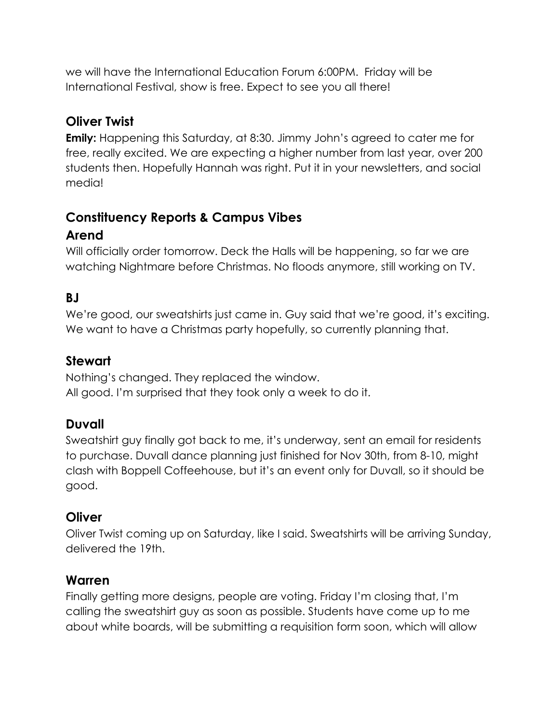we will have the International Education Forum 6:00PM. Friday will be International Festival, show is free. Expect to see you all there!

### **Oliver Twist**

**Emily:** Happening this Saturday, at 8:30. Jimmy John's agreed to cater me for free, really excited. We are expecting a higher number from last year, over 200 students then. Hopefully Hannah was right. Put it in your newsletters, and social media!

#### **Constituency Reports & Campus Vibes Arend**

Will officially order tomorrow. Deck the Halls will be happening, so far we are watching Nightmare before Christmas. No floods anymore, still working on TV.

## **BJ**

We're good, our sweatshirts just came in. Guy said that we're good, it's exciting. We want to have a Christmas party hopefully, so currently planning that.

#### **Stewart**

Nothing's changed. They replaced the window. All good. I'm surprised that they took only a week to do it.

#### **Duvall**

Sweatshirt guy finally got back to me, it's underway, sent an email for residents to purchase. Duvall dance planning just finished for Nov 30th, from 8-10, might clash with Boppell Coffeehouse, but it's an event only for Duvall, so it should be good.

#### **Oliver**

Oliver Twist coming up on Saturday, like I said. Sweatshirts will be arriving Sunday, delivered the 19th.

#### **Warren**

Finally getting more designs, people are voting. Friday I'm closing that, I'm calling the sweatshirt guy as soon as possible. Students have come up to me about white boards, will be submitting a requisition form soon, which will allow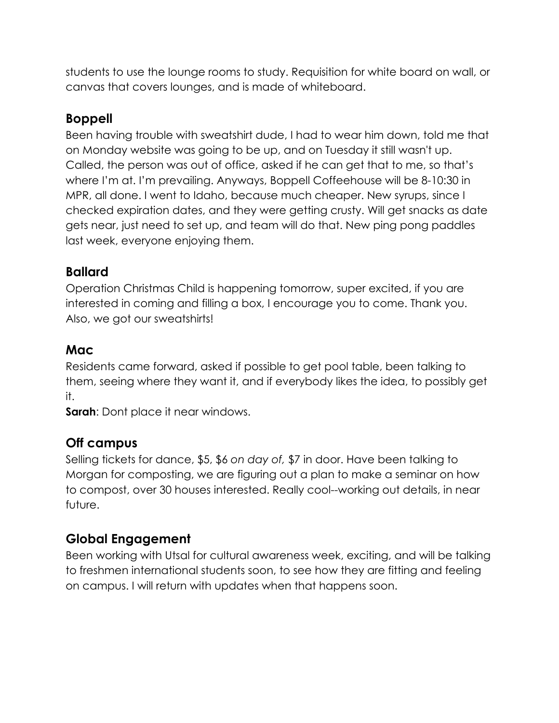students to use the lounge rooms to study. Requisition for white board on wall, or canvas that covers lounges, and is made of whiteboard.

#### **Boppell**

Been having trouble with sweatshirt dude, I had to wear him down, told me that on Monday website was going to be up, and on Tuesday it still wasn't up. Called, the person was out of office, asked if he can get that to me, so that's where I'm at. I'm prevailing. Anyways, Boppell Coffeehouse will be 8-10:30 in MPR, all done. I went to Idaho, because much cheaper. New syrups, since I checked expiration dates, and they were getting crusty. Will get snacks as date gets near, just need to set up, and team will do that. New ping pong paddles last week, everyone enjoying them.

#### **Ballard**

Operation Christmas Child is happening tomorrow, super excited, if you are interested in coming and filling a box, I encourage you to come. Thank you. Also, we got our sweatshirts!

#### **Mac**

Residents came forward, asked if possible to get pool table, been talking to them, seeing where they want it, and if everybody likes the idea, to possibly get it.

**Sarah**: Dont place it near windows.

### **Off campus**

Selling tickets for dance, \$5, \$6 *on day of,* \$7 in door. Have been talking to Morgan for composting, we are figuring out a plan to make a seminar on how to compost, over 30 houses interested. Really cool--working out details, in near future.

### **Global Engagement**

Been working with Utsal for cultural awareness week, exciting, and will be talking to freshmen international students soon, to see how they are fitting and feeling on campus. I will return with updates when that happens soon.